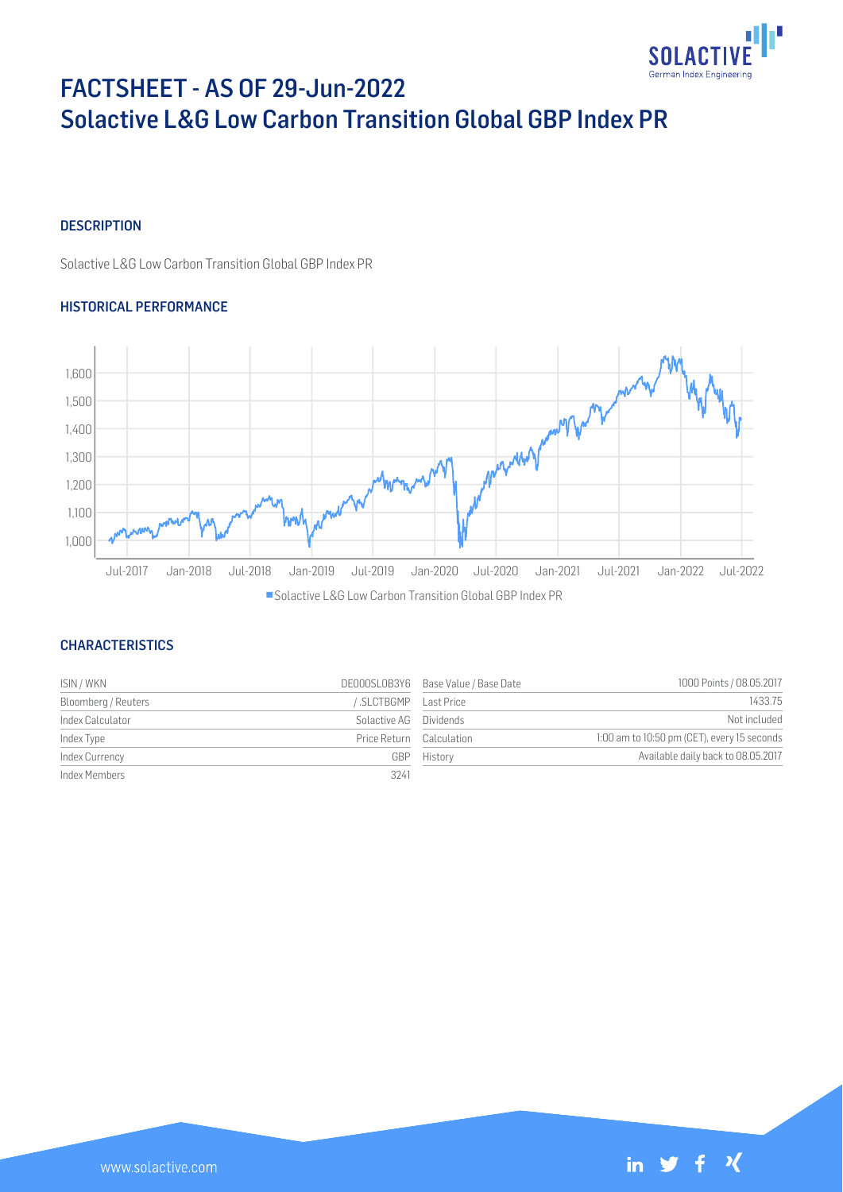

# FACTSHEET - AS OF 29-Jun-2022 Solactive L&G Low Carbon Transition Global GBP Index PR

## **DESCRIPTION**

Solactive L&G Low Carbon Transition Global GBP Index PR

## HISTORICAL PERFORMANCE



## **CHARACTERISTICS**

| ISIN / WKN          |                          | DE000SL0B3Y6 Base Value / Base Date | 1000 Points / 08.05.2017                    |
|---------------------|--------------------------|-------------------------------------|---------------------------------------------|
| Bloomberg / Reuters | SLCTBGMP Last Price      |                                     | 1433.75                                     |
| Index Calculator    | Solactive AG Dividends   |                                     | Not included                                |
| Index Type          | Price Return Calculation |                                     | 1:00 am to 10:50 pm (CET), every 15 seconds |
| Index Currency      | GBP                      | History                             | Available daily back to 08.05.2017          |
| Index Members       | 3241                     |                                     |                                             |



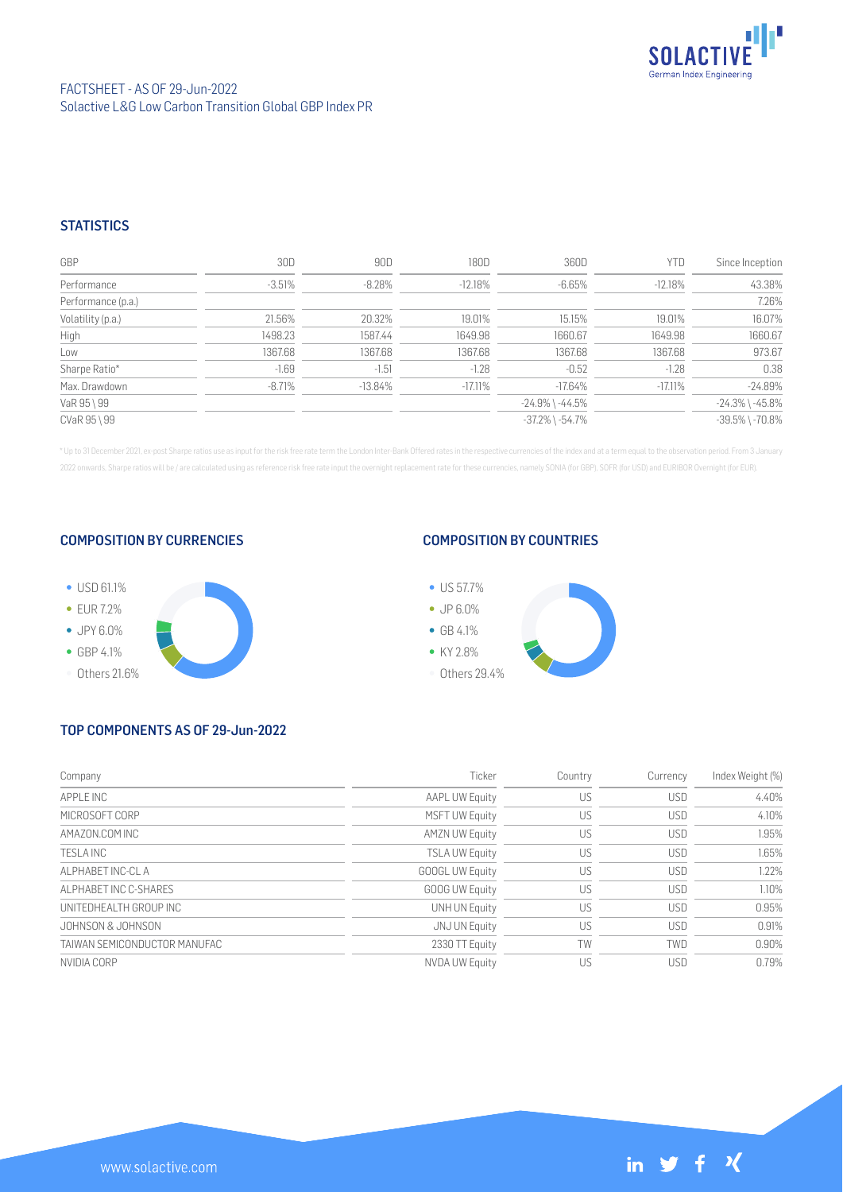

## **STATISTICS**

| GBP                | 30D      | 90D        | 180D      | 360D                  | YTD        | Since Inception       |
|--------------------|----------|------------|-----------|-----------------------|------------|-----------------------|
| Performance        | $-3.51%$ | $-8.28\%$  | $-12.18%$ | $-6.65\%$             | $-12.18%$  | 43.38%                |
| Performance (p.a.) |          |            |           |                       |            | 7.26%                 |
| Volatility (p.a.)  | 21.56%   | 20.32%     | 19.01%    | 15.15%                | 19.01%     | 16.07%                |
| High               | 1498.23  | 1587.44    | 1649.98   | 1660.67               | 1649.98    | 1660.67               |
| Low                | 1367.68  | 1367.68    | 1367.68   | 1367.68               | 1367.68    | 973.67                |
| Sharpe Ratio*      | $-1.69$  | $-1.51$    | $-1.28$   | $-0.52$               | $-1.28$    | 0.38                  |
| Max. Drawdown      | $-8.71%$ | $-13.84\%$ | $-17.11%$ | $-17.64\%$            | $-17.11\%$ | $-24.89%$             |
| VaR 95 \ 99        |          |            |           | $-24.9\%$ \ $-44.5\%$ |            | $-24.3\%$ \ $-45.8\%$ |
| CVaR 95 \ 99       |          |            |           | $-37.2\%$ \ $-54.7\%$ |            | $-39.5\%$ \ $-70.8\%$ |

\* Up to 31 December 2021, ex-post Sharpe ratios use as input for the risk free rate term the London Inter-Bank Offered rates in the respective currencies of the index and at a term equal to the observation period. From 3 J 2022 onwards, Sharpe ratios will be / are calculated using as reference risk free rate input the overnight replacement rate for these currencies, namely SONIA (for GBP), SOFR (for USD) and EURIBOR Overnight (for EUR).

## COMPOSITION BY CURRENCIES



## COMPOSITION BY COUNTRIES



# TOP COMPONENTS AS OF 29-Jun-2022

| Company                      | Ticker                 | Country | Currency   | Index Weight (%) |
|------------------------------|------------------------|---------|------------|------------------|
| APPI F INC                   | <b>AAPL UW Equity</b>  | US      | <b>USD</b> | 4.40%            |
| MICROSOFT CORP               | <b>MSFT UW Equity</b>  | US      | <b>USD</b> | 4.10%            |
| AMAZON.COM INC               | <b>AMZN UW Equity</b>  | US      | <b>USD</b> | 1.95%            |
| TESI A INC                   | <b>TSLA UW Equity</b>  | US      | <b>USD</b> | 1.65%            |
| AI PHARFT INC-CLA            | <b>GOOGL UW Equity</b> | US      | <b>USD</b> | 1.22%            |
| ALPHARET INC C-SHARES        | <b>GOOG UW Equity</b>  | US      | <b>USD</b> | 1.10%            |
| UNITEDHEALTH GROUP INC       | <b>UNH UN Equity</b>   | US      | <b>USD</b> | 0.95%            |
| JOHNSON & JOHNSON            | JNJ UN Equity          | US      | <b>USD</b> | 0.91%            |
| TAIWAN SEMICONDUCTOR MANUFAC | 2330 TT Equity         | TW      | TWD        | 0.90%            |
| NVIDIA CORP                  | <b>NVDA UW Equity</b>  | US      | <b>USD</b> | 0.79%            |